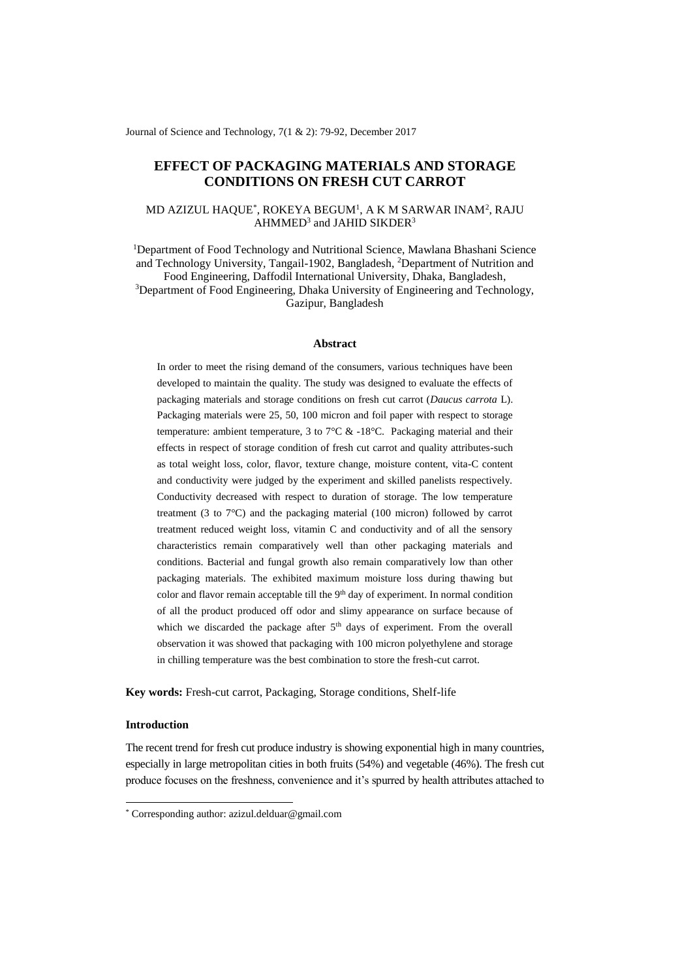Journal of Science and Technology, 7(1 & 2): 79-92, December 2017

# **EFFECT OF PACKAGING MATERIALS AND STORAGE CONDITIONS ON FRESH CUT CARROT**

# MD AZIZUL HAQUE $^\ast$ , ROKEYA BEGUM $^{\rm l}$ , A K M SARWAR INAM $^{\rm 2}$ , RAJU  $AHMMED<sup>3</sup>$  and JAHID SIKDER<sup>3</sup>

<sup>1</sup>Department of Food Technology and Nutritional Science, Mawlana Bhashani Science and Technology University, Tangail-1902, Bangladesh, <sup>2</sup>Department of Nutrition and Food Engineering, Daffodil International University, Dhaka, Bangladesh, <sup>3</sup>Department of Food Engineering, Dhaka University of Engineering and Technology, Gazipur, Bangladesh

#### **Abstract**

In order to meet the rising demand of the consumers, various techniques have been developed to maintain the quality. The study was designed to evaluate the effects of packaging materials and storage conditions on fresh cut carrot (*Daucus carrota* L). Packaging materials were 25, 50, 100 micron and foil paper with respect to storage temperature: ambient temperature, 3 to 7°C  $\&$  -18°C. Packaging material and their effects in respect of storage condition of fresh cut carrot and quality attributes-such as total weight loss, color, flavor, texture change, moisture content, vita-C content and conductivity were judged by the experiment and skilled panelists respectively. Conductivity decreased with respect to duration of storage. The low temperature treatment (3 to 7°C) and the packaging material (100 micron) followed by carrot treatment reduced weight loss, vitamin C and conductivity and of all the sensory characteristics remain comparatively well than other packaging materials and conditions. Bacterial and fungal growth also remain comparatively low than other packaging materials. The exhibited maximum moisture loss during thawing but color and flavor remain acceptable till the  $9<sup>th</sup>$  day of experiment. In normal condition of all the product produced off odor and slimy appearance on surface because of which we discarded the package after 5<sup>th</sup> days of experiment. From the overall observation it was showed that packaging with 100 micron polyethylene and storage in chilling temperature was the best combination to store the fresh-cut carrot.

**Key words:** Fresh-cut carrot, Packaging, Storage conditions, Shelf-life

# **Introduction**

1

The recent trend for fresh cut produce industry is showing exponential high in many countries, especially in large metropolitan cities in both fruits (54%) and vegetable (46%). The fresh cut produce focuses on the freshness, convenience and it's spurred by health attributes attached to

<sup>\*</sup> Corresponding author: azizul.delduar@gmail.com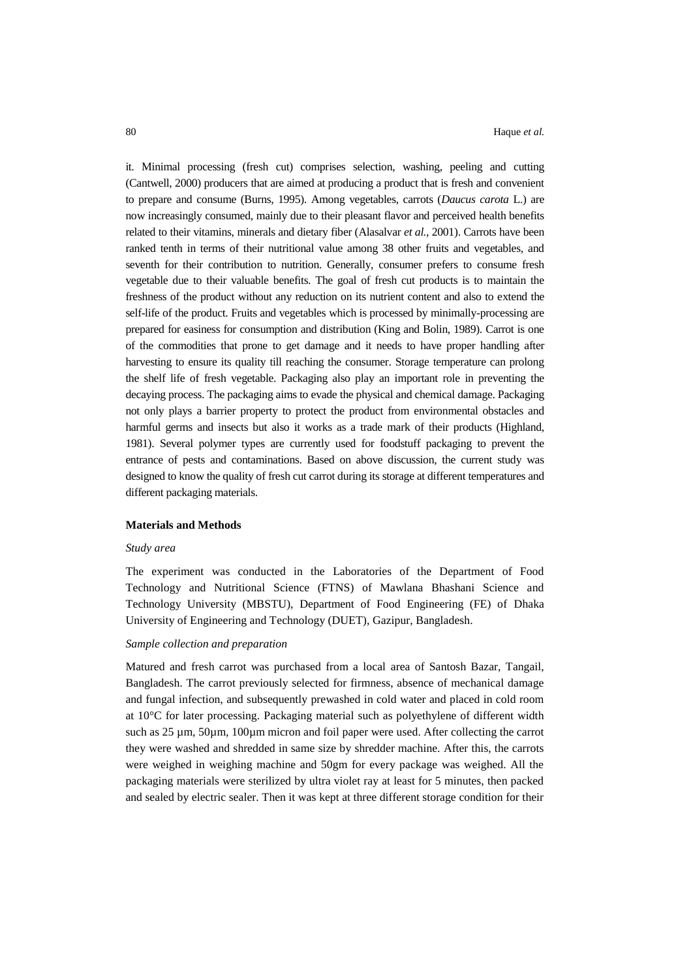it. Minimal processing (fresh cut) comprises selection, washing, peeling and cutting (Cantwell, 2000) producers that are aimed at producing a product that is fresh and convenient to prepare and consume (Burns, 1995). Among vegetables, carrots (*Daucus carota* L.) are now increasingly consumed, mainly due to their pleasant flavor and perceived health benefits related to their vitamins, minerals and dietary fiber (Alasalvar *et al.,* 2001). Carrots have been ranked tenth in terms of their nutritional value among 38 other fruits and vegetables, and seventh for their contribution to nutrition. Generally, consumer prefers to consume fresh vegetable due to their valuable benefits. The goal of fresh cut products is to maintain the freshness of the product without any reduction on its nutrient content and also to extend the self-life of the product. Fruits and vegetables which is processed by minimally-processing are prepared for easiness for consumption and distribution (King and Bolin, 1989). Carrot is one of the commodities that prone to get damage and it needs to have proper handling after harvesting to ensure its quality till reaching the consumer. Storage temperature can prolong the shelf life of fresh vegetable. Packaging also play an important role in preventing the decaying process. The packaging aims to evade the physical and chemical damage. Packaging not only plays a barrier property to protect the product from environmental obstacles and harmful germs and insects but also it works as a trade mark of their products (Highland, 1981). Several polymer types are currently used for foodstuff packaging to prevent the entrance of pests and contaminations. Based on above discussion, the current study was designed to know the quality of fresh cut carrot during its storage at different temperatures and different packaging materials.

### **Materials and Methods**

#### *Study area*

The experiment was conducted in the Laboratories of the Department of Food Technology and Nutritional Science (FTNS) of Mawlana Bhashani Science and Technology University (MBSTU), Department of Food Engineering (FE) of Dhaka University of Engineering and Technology (DUET), Gazipur, Bangladesh.

### *Sample collection and preparation*

Matured and fresh carrot was purchased from a local area of Santosh Bazar, Tangail, Bangladesh. The carrot previously selected for firmness, absence of mechanical damage and fungal infection, and subsequently prewashed in cold water and placed in cold room at 10°C for later processing. Packaging material such as polyethylene of different width such as 25 µm, 50µm, 100µm micron and foil paper were used. After collecting the carrot they were washed and shredded in same size by shredder machine. After this, the carrots were weighed in weighing machine and 50gm for every package was weighed. All the packaging materials were sterilized by ultra violet ray at least for 5 minutes, then packed and sealed by electric sealer. Then it was kept at three different storage condition for their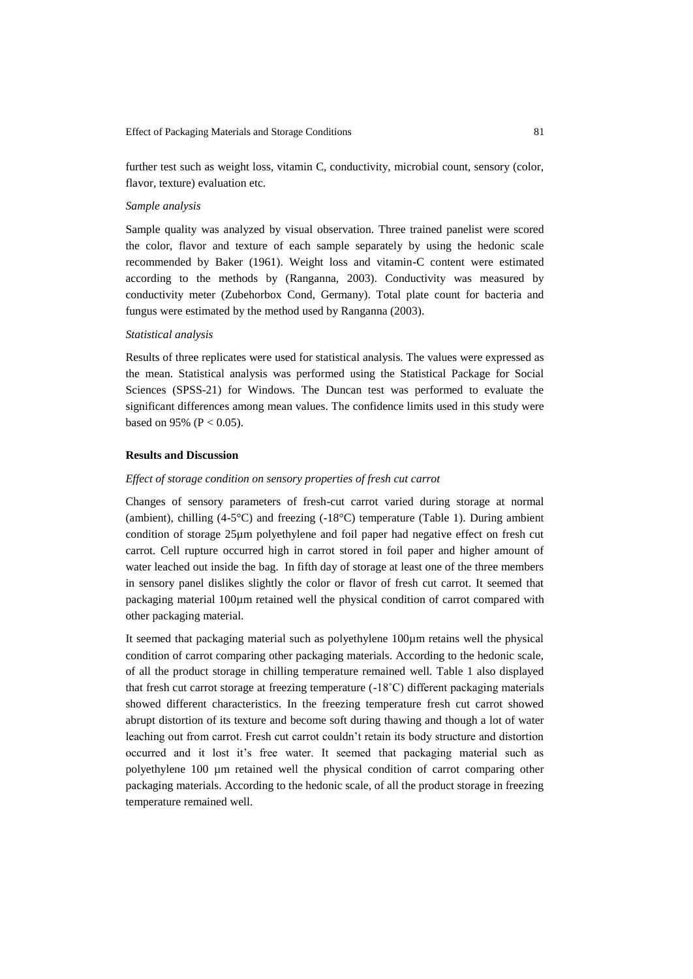further test such as weight loss, vitamin C, conductivity, microbial count, sensory (color, flavor, texture) evaluation etc.

## *Sample analysis*

Sample quality was analyzed by visual observation. Three trained panelist were scored the color, flavor and texture of each sample separately by using the hedonic scale recommended by Baker (1961). Weight loss and vitamin-C content were estimated according to the methods by (Ranganna, 2003). Conductivity was measured by conductivity meter (Zubehorbox Cond, Germany). Total plate count for bacteria and fungus were estimated by the method used by Ranganna (2003).

#### *Statistical analysis*

Results of three replicates were used for statistical analysis. The values were expressed as the mean. Statistical analysis was performed using the Statistical Package for Social Sciences (SPSS-21) for Windows. The Duncan test was performed to evaluate the significant differences among mean values. The confidence limits used in this study were based on 95% ( $P < 0.05$ ).

### **Results and Discussion**

#### *Effect of storage condition on sensory properties of fresh cut carrot*

Changes of sensory parameters of fresh-cut carrot varied during storage at normal (ambient), chilling  $(4-5^{\circ}\text{C})$  and freezing  $(-18^{\circ}\text{C})$  temperature (Table 1). During ambient condition of storage 25µm polyethylene and foil paper had negative effect on fresh cut carrot. Cell rupture occurred high in carrot stored in foil paper and higher amount of water leached out inside the bag. In fifth day of storage at least one of the three members in sensory panel dislikes slightly the color or flavor of fresh cut carrot. It seemed that packaging material 100µm retained well the physical condition of carrot compared with other packaging material.

It seemed that packaging material such as polyethylene 100µm retains well the physical condition of carrot comparing other packaging materials. According to the hedonic scale, of all the product storage in chilling temperature remained well. Table 1 also displayed that fresh cut carrot storage at freezing temperature (-18˚C) different packaging materials showed different characteristics. In the freezing temperature fresh cut carrot showed abrupt distortion of its texture and become soft during thawing and though a lot of water leaching out from carrot. Fresh cut carrot couldn't retain its body structure and distortion occurred and it lost it's free water. It seemed that packaging material such as polyethylene 100 µm retained well the physical condition of carrot comparing other packaging materials. According to the hedonic scale, of all the product storage in freezing temperature remained well.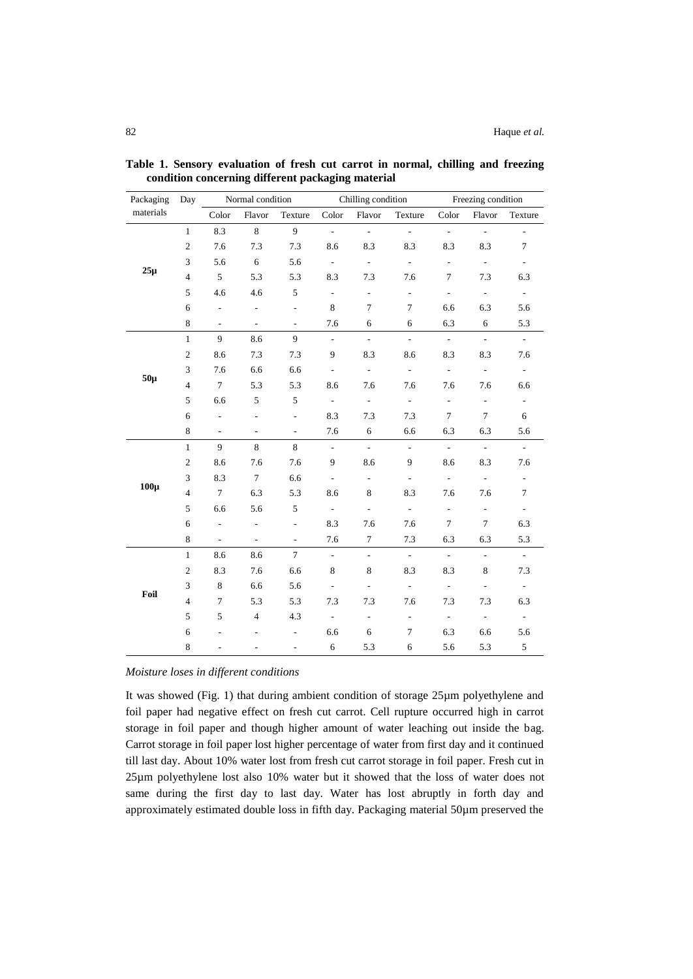| Packaging | Day            | Normal condition            |                          |                          | Chilling condition          |                           |                             | Freezing condition        |                             |                          |
|-----------|----------------|-----------------------------|--------------------------|--------------------------|-----------------------------|---------------------------|-----------------------------|---------------------------|-----------------------------|--------------------------|
| materials |                | Color                       | Flavor                   | Texture                  | Color                       | Flavor                    | Texture                     | Color                     | Flavor                      | Texture                  |
| $25\mu$   | $\mathbf{1}$   | 8.3                         | 8                        | 9                        | $\mathcal{L}^{\mathcal{A}}$ | $\mathbb{Z}^{\mathbb{Z}}$ | $\mathbb{L}^{\mathbb{N}}$   | $\omega$                  | ä,                          | ä,                       |
|           | $\overline{c}$ | 7.6                         | 7.3                      | 7.3                      | 8.6                         | 8.3                       | 8.3                         | 8.3                       | 8.3                         | $\tau$                   |
|           | 3              | 5.6                         | 6                        | 5.6                      | $\overline{\phantom{a}}$    | $\equiv$                  | $\overline{\phantom{a}}$    | $\overline{\phantom{a}}$  | $\mathcal{L}_{\mathcal{A}}$ | $\overline{\phantom{a}}$ |
|           | $\overline{4}$ | 5                           | 5.3                      | 5.3                      | 8.3                         | 7.3                       | 7.6                         | $\tau$                    | 7.3                         | 6.3                      |
|           | 5              | 4.6                         | 4.6                      | 5                        | $\overline{\phantom{a}}$    | $\overline{\phantom{a}}$  | $\blacksquare$              | $\overline{\phantom{a}}$  | $\overline{\phantom{a}}$    | $\bar{\phantom{a}}$      |
|           | 6              | $\overline{\phantom{a}}$    | $\overline{\phantom{a}}$ | $\frac{1}{2}$            | $\,8\,$                     | $\overline{7}$            | $\overline{7}$              | 6.6                       | 6.3                         | 5.6                      |
|           | 8              | $\overline{\phantom{a}}$    | $\overline{\phantom{a}}$ | $\overline{\phantom{a}}$ | 7.6                         | 6                         | 6                           | 6.3                       | 6                           | 5.3                      |
| $50\mu$   | $\mathbf{1}$   | 9                           | 8.6                      | 9                        | $\overline{\phantom{a}}$    | $\sim$                    | $\sim$                      | $\omega$                  | $\sim$                      | $\omega$                 |
|           | $\mathfrak{2}$ | 8.6                         | 7.3                      | 7.3                      | 9                           | 8.3                       | 8.6                         | 8.3                       | 8.3                         | 7.6                      |
|           | 3              | 7.6                         | 6.6                      | 6.6                      | $\overline{\phantom{a}}$    | $\overline{\phantom{a}}$  | $\overline{\phantom{a}}$    | $\overline{\phantom{a}}$  | ÷.                          | $\omega$                 |
|           | $\overline{4}$ | $\boldsymbol{7}$            | 5.3                      | 5.3                      | 8.6                         | 7.6                       | 7.6                         | 7.6                       | 7.6                         | 6.6                      |
|           | 5              | 6.6                         | 5                        | 5                        | $\overline{\phantom{a}}$    | $\blacksquare$            | $\overline{\phantom{a}}$    | $\overline{\phantom{a}}$  | $\overline{\phantom{a}}$    | $\omega$                 |
|           | 6              | $\overline{\phantom{a}}$    | $\frac{1}{2}$            | $\frac{1}{2}$            | 8.3                         | 7.3                       | 7.3                         | $\tau$                    | $\tau$                      | 6                        |
|           | $\,8\,$        | $\overline{\phantom{a}}$    | L.                       | L.                       | 7.6                         | 6                         | 6.6                         | 6.3                       | 6.3                         | 5.6                      |
| $100\mu$  | $\mathbf{1}$   | 9                           | 8                        | 8                        | $\mathbb{Z}^2$              | $\mathcal{L}^{\pm}$       | $\mathbb{Z}^{\mathbb{Z}}$   | $\mathbb{Z}^{\mathbb{Z}}$ | $\mathbb{Z}^{\mathbb{Z}}$   | $\omega$                 |
|           | $\overline{c}$ | 8.6                         | 7.6                      | 7.6                      | 9                           | 8.6                       | 9                           | 8.6                       | 8.3                         | 7.6                      |
|           | 3              | 8.3                         | $\tau$                   | 6.6                      | $\overline{a}$              | $\overline{\phantom{a}}$  | $\mathbb{L}$                | $\omega$                  | ä,                          | $\omega$                 |
|           | $\overline{4}$ | $\tau$                      | 6.3                      | 5.3                      | 8.6                         | 8                         | 8.3                         | 7.6                       | 7.6                         | $\tau$                   |
|           | 5              | 6.6                         | 5.6                      | 5                        | $\overline{\phantom{a}}$    | $\Box$                    | $\sim$                      | $\Box$                    | $\frac{1}{2}$               | $\Box$                   |
|           | 6              | $\overline{\phantom{a}}$    | $\overline{\phantom{a}}$ | $\overline{\phantom{a}}$ | 8.3                         | 7.6                       | 7.6                         | $\tau$                    | $\tau$                      | 6.3                      |
|           | 8              | $\mathcal{L}_{\mathcal{A}}$ | ÷,                       | $\overline{\phantom{a}}$ | 7.6                         | $\tau$                    | 7.3                         | 6.3                       | 6.3                         | 5.3                      |
| Foil      | $1\,$          | 8.6                         | 8.6                      | $\tau$                   | $\overline{\phantom{a}}$    | $\Box$                    | $\mathcal{L}_{\mathcal{A}}$ | $\omega$                  | $\overline{\phantom{a}}$    | $\mathcal{L}^{\pm}$      |
|           | $\overline{c}$ | 8.3                         | 7.6                      | 6.6                      | 8                           | 8                         | 8.3                         | 8.3                       | 8                           | 7.3                      |
|           | 3              | 8                           | 6.6                      | 5.6                      | $\overline{\phantom{a}}$    | $\Box$                    | $\overline{\phantom{a}}$    | $\overline{\phantom{a}}$  | ÷,                          | $\omega$                 |
|           | $\overline{4}$ | $\tau$                      | 5.3                      | 5.3                      | 7.3                         | 7.3                       | 7.6                         | 7.3                       | 7.3                         | 6.3                      |
|           | 5              | 5                           | $\overline{4}$           | 4.3                      | $\overline{\phantom{a}}$    | $\overline{\phantom{a}}$  | $\blacksquare$              | $\blacksquare$            | $\overline{\phantom{a}}$    | $\equiv$                 |
|           | 6              | $\overline{\phantom{0}}$    | $\frac{1}{2}$            | $\overline{\phantom{m}}$ | 6.6                         | 6                         | $\tau$                      | 6.3                       | 6.6                         | 5.6                      |
|           | 8              | $\overline{a}$              | $\overline{a}$           | ÷,                       | 6                           | 5.3                       | 6                           | 5.6                       | 5.3                         | 5                        |

**Table 1. Sensory evaluation of fresh cut carrot in normal, chilling and freezing condition concerning different packaging material**

*Moisture loses in different conditions*

It was showed (Fig. 1) that during ambient condition of storage 25µm polyethylene and foil paper had negative effect on fresh cut carrot. Cell rupture occurred high in carrot storage in foil paper and though higher amount of water leaching out inside the bag. Carrot storage in foil paper lost higher percentage of water from first day and it continued till last day. About 10% water lost from fresh cut carrot storage in foil paper. Fresh cut in 25µm polyethylene lost also 10% water but it showed that the loss of water does not same during the first day to last day. Water has lost abruptly in forth day and approximately estimated double loss in fifth day. Packaging material 50µm preserved the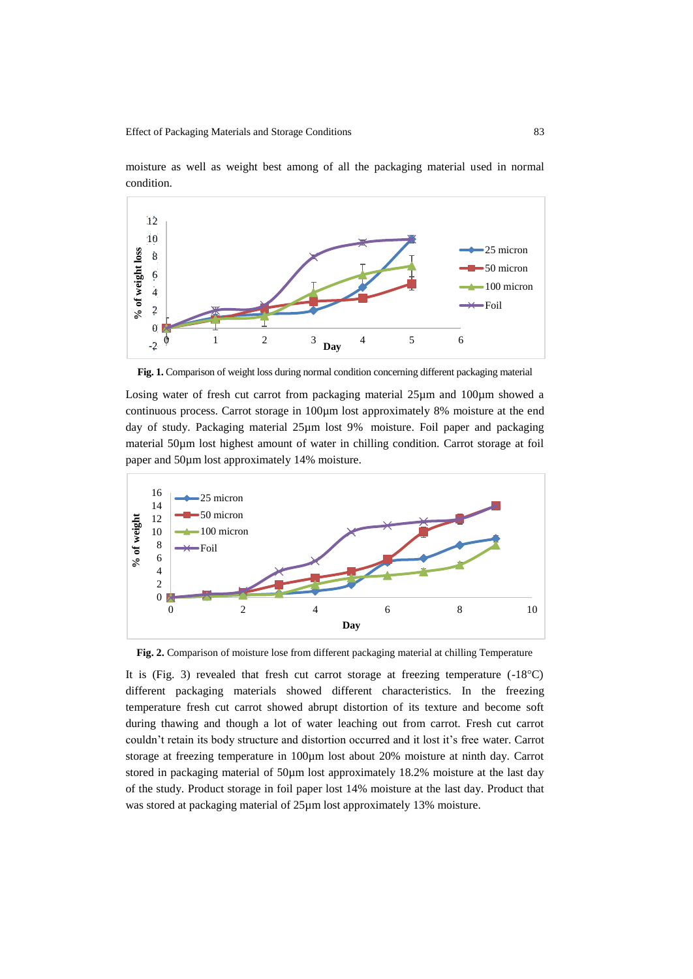

moisture as well as weight best among of all the packaging material used in normal condition.

**Fig. 1.** Comparison of weight loss during normal condition concerning different packaging material

Losing water of fresh cut carrot from packaging material 25um and 100um showed a continuous process. Carrot storage in 100µm lost approximately 8% moisture at the end day of study. Packaging material 25µm lost 9% moisture. Foil paper and packaging material 50µm lost highest amount of water in chilling condition. Carrot storage at foil paper and 50µm lost approximately 14% moisture.



**Fig. 2.** Comparison of moisture lose from different packaging material at chilling Temperature

It is (Fig. 3) revealed that fresh cut carrot storage at freezing temperature  $(-18^{\circ}C)$ different packaging materials showed different characteristics. In the freezing temperature fresh cut carrot showed abrupt distortion of its texture and become soft during thawing and though a lot of water leaching out from carrot. Fresh cut carrot couldn't retain its body structure and distortion occurred and it lost it's free water. Carrot storage at freezing temperature in 100µm lost about 20% moisture at ninth day. Carrot stored in packaging material of 50µm lost approximately 18.2% moisture at the last day of the study. Product storage in foil paper lost 14% moisture at the last day. Product that was stored at packaging material of  $25\mu$ m lost approximately 13% moisture.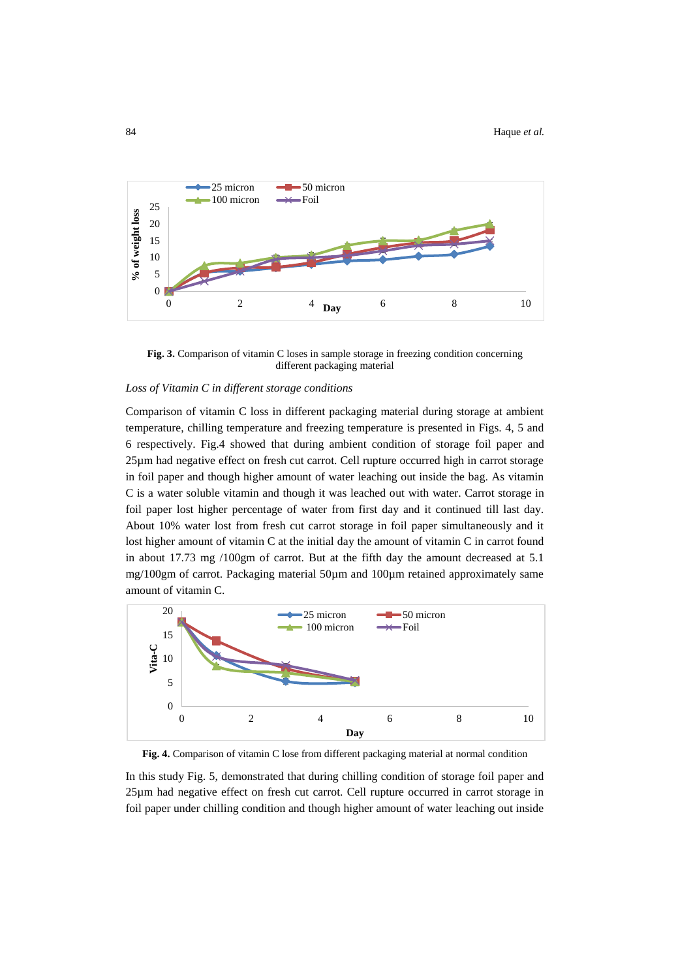

**Fig. 3.** Comparison of vitamin C loses in sample storage in freezing condition concerning different packaging material

# *Loss of Vitamin C in different storage conditions*

Comparison of vitamin C loss in different packaging material during storage at ambient temperature, chilling temperature and freezing temperature is presented in Figs. 4, 5 and 6 respectively. Fig.4 showed that during ambient condition of storage foil paper and 25µm had negative effect on fresh cut carrot. Cell rupture occurred high in carrot storage in foil paper and though higher amount of water leaching out inside the bag. As vitamin C is a water soluble vitamin and though it was leached out with water. Carrot storage in foil paper lost higher percentage of water from first day and it continued till last day. About 10% water lost from fresh cut carrot storage in foil paper simultaneously and it lost higher amount of vitamin C at the initial day the amount of vitamin C in carrot found in about 17.73 mg /100gm of carrot. But at the fifth day the amount decreased at 5.1 mg/100gm of carrot. Packaging material 50µm and 100µm retained approximately same amount of vitamin C.



**Fig. 4.** Comparison of vitamin C lose from different packaging material at normal condition

In this study Fig. 5, demonstrated that during chilling condition of storage foil paper and 25µm had negative effect on fresh cut carrot. Cell rupture occurred in carrot storage in foil paper under chilling condition and though higher amount of water leaching out inside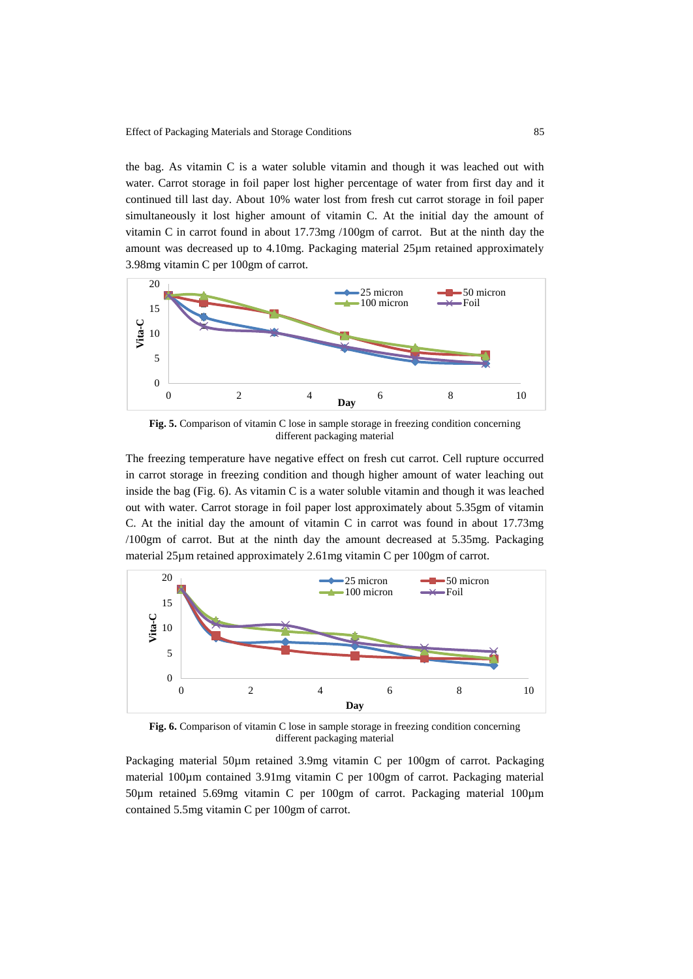the bag. As vitamin C is a water soluble vitamin and though it was leached out with water. Carrot storage in foil paper lost higher percentage of water from first day and it continued till last day. About 10% water lost from fresh cut carrot storage in foil paper simultaneously it lost higher amount of vitamin C. At the initial day the amount of vitamin C in carrot found in about 17.73mg /100gm of carrot. But at the ninth day the amount was decreased up to 4.10mg. Packaging material 25µm retained approximately 3.98mg vitamin C per 100gm of carrot.



**Fig. 5.** Comparison of vitamin C lose in sample storage in freezing condition concerning different packaging material

The freezing temperature have negative effect on fresh cut carrot. Cell rupture occurred in carrot storage in freezing condition and though higher amount of water leaching out inside the bag (Fig. 6). As vitamin C is a water soluble vitamin and though it was leached out with water. Carrot storage in foil paper lost approximately about 5.35gm of vitamin C. At the initial day the amount of vitamin C in carrot was found in about 17.73mg /100gm of carrot. But at the ninth day the amount decreased at 5.35mg. Packaging material 25µm retained approximately 2.61mg vitamin C per 100gm of carrot.



**Fig. 6.** Comparison of vitamin C lose in sample storage in freezing condition concerning different packaging material

Packaging material 50µm retained 3.9mg vitamin C per 100gm of carrot. Packaging material 100µm contained 3.91mg vitamin C per 100gm of carrot. Packaging material 50µm retained 5.69mg vitamin C per 100gm of carrot. Packaging material 100µm contained 5.5mg vitamin C per 100gm of carrot.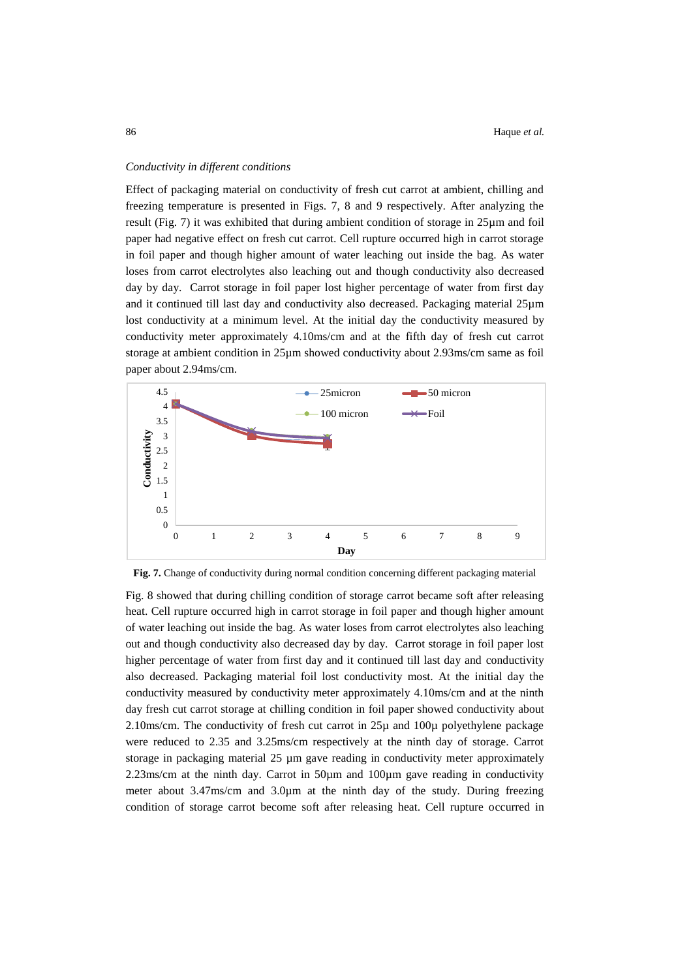#### *Conductivity in different conditions*

Effect of packaging material on conductivity of fresh cut carrot at ambient, chilling and freezing temperature is presented in Figs. 7, 8 and 9 respectively. After analyzing the result (Fig. 7) it was exhibited that during ambient condition of storage in 25µm and foil paper had negative effect on fresh cut carrot. Cell rupture occurred high in carrot storage in foil paper and though higher amount of water leaching out inside the bag. As water loses from carrot electrolytes also leaching out and though conductivity also decreased day by day. Carrot storage in foil paper lost higher percentage of water from first day and it continued till last day and conductivity also decreased. Packaging material 25µm lost conductivity at a minimum level. At the initial day the conductivity measured by conductivity meter approximately 4.10ms/cm and at the fifth day of fresh cut carrot storage at ambient condition in 25µm showed conductivity about 2.93ms/cm same as foil paper about 2.94ms/cm.





Fig. 8 showed that during chilling condition of storage carrot became soft after releasing heat. Cell rupture occurred high in carrot storage in foil paper and though higher amount of water leaching out inside the bag. As water loses from carrot electrolytes also leaching out and though conductivity also decreased day by day. Carrot storage in foil paper lost higher percentage of water from first day and it continued till last day and conductivity also decreased. Packaging material foil lost conductivity most. At the initial day the conductivity measured by conductivity meter approximately 4.10ms/cm and at the ninth day fresh cut carrot storage at chilling condition in foil paper showed conductivity about 2.10ms/cm. The conductivity of fresh cut carrot in 25µ and 100µ polyethylene package were reduced to 2.35 and 3.25ms/cm respectively at the ninth day of storage. Carrot storage in packaging material 25 µm gave reading in conductivity meter approximately 2.23ms/cm at the ninth day. Carrot in  $50\mu m$  and  $100\mu m$  gave reading in conductivity meter about 3.47ms/cm and 3.0µm at the ninth day of the study. During freezing condition of storage carrot become soft after releasing heat. Cell rupture occurred in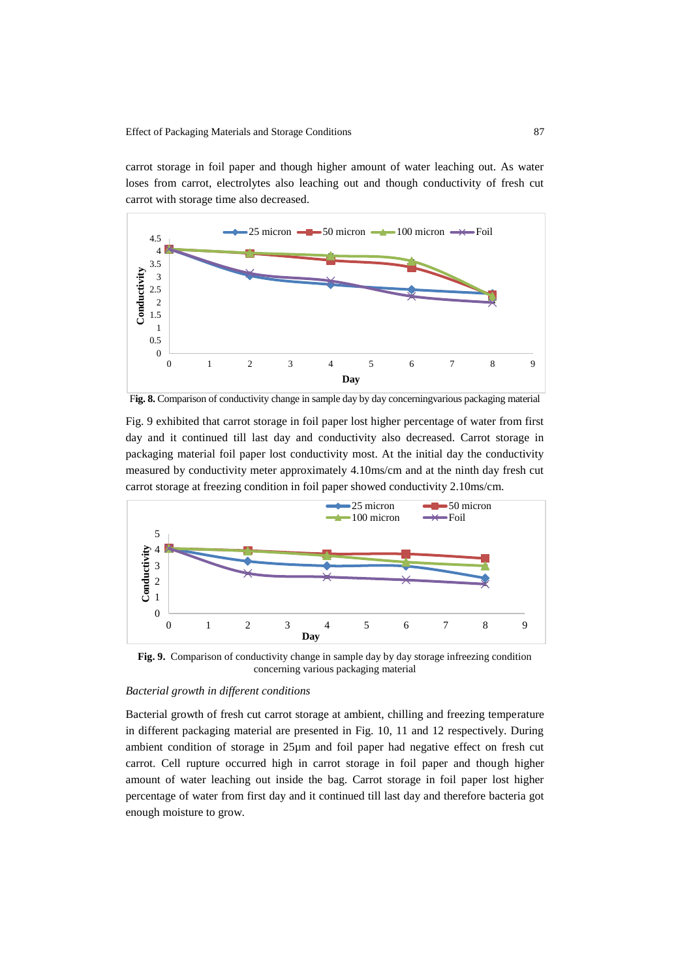carrot storage in foil paper and though higher amount of water leaching out. As water loses from carrot, electrolytes also leaching out and though conductivity of fresh cut carrot with storage time also decreased.



F**ig. 8.** Comparison of conductivity change in sample day by day concerningvarious packaging material

Fig. 9 exhibited that carrot storage in foil paper lost higher percentage of water from first day and it continued till last day and conductivity also decreased. Carrot storage in packaging material foil paper lost conductivity most. At the initial day the conductivity measured by conductivity meter approximately 4.10ms/cm and at the ninth day fresh cut carrot storage at freezing condition in foil paper showed conductivity 2.10ms/cm.



**Fig. 9.** Comparison of conductivity change in sample day by day storage infreezing condition concerning various packaging material

### *Bacterial growth in different conditions*

Bacterial growth of fresh cut carrot storage at ambient, chilling and freezing temperature in different packaging material are presented in Fig. 10, 11 and 12 respectively. During ambient condition of storage in 25µm and foil paper had negative effect on fresh cut carrot. Cell rupture occurred high in carrot storage in foil paper and though higher amount of water leaching out inside the bag. Carrot storage in foil paper lost higher percentage of water from first day and it continued till last day and therefore bacteria got enough moisture to grow.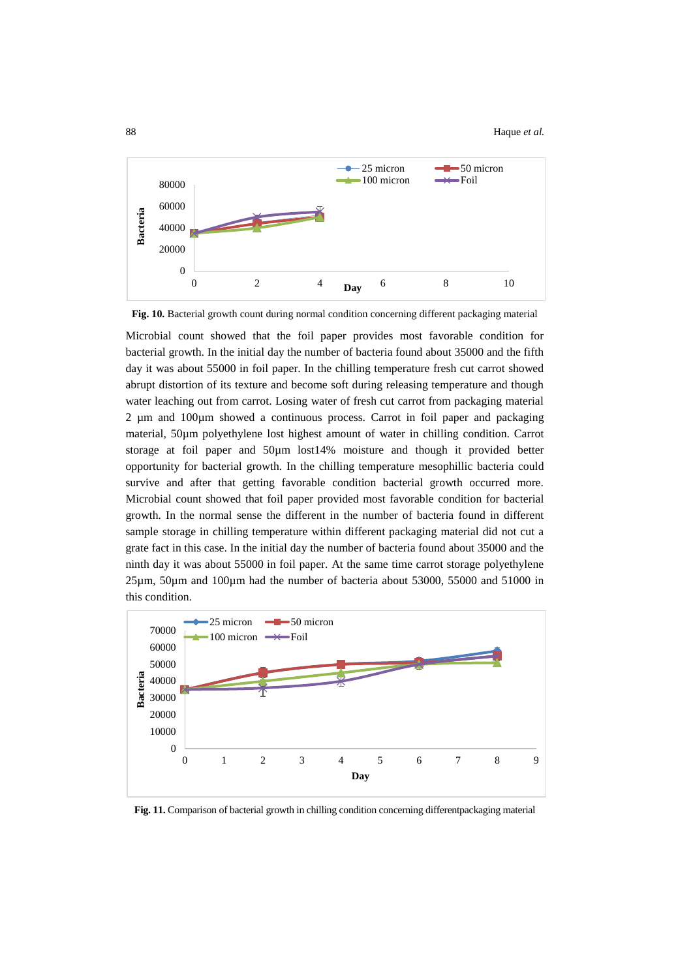

**Fig. 10.** Bacterial growth count during normal condition concerning different packaging material

Microbial count showed that the foil paper provides most favorable condition for bacterial growth. In the initial day the number of bacteria found about 35000 and the fifth day it was about 55000 in foil paper. In the chilling temperature fresh cut carrot showed abrupt distortion of its texture and become soft during releasing temperature and though water leaching out from carrot. Losing water of fresh cut carrot from packaging material 2 µm and 100µm showed a continuous process. Carrot in foil paper and packaging material, 50µm polyethylene lost highest amount of water in chilling condition. Carrot storage at foil paper and 50µm lost14% moisture and though it provided better opportunity for bacterial growth. In the chilling temperature mesophillic bacteria could survive and after that getting favorable condition bacterial growth occurred more. Microbial count showed that foil paper provided most favorable condition for bacterial growth. In the normal sense the different in the number of bacteria found in different sample storage in chilling temperature within different packaging material did not cut a grate fact in this case. In the initial day the number of bacteria found about 35000 and the ninth day it was about 55000 in foil paper. At the same time carrot storage polyethylene 25µm, 50µm and 100µm had the number of bacteria about 53000, 55000 and 51000 in this condition.



**Fig. 11.** Comparison of bacterial growth in chilling condition concerning differentpackaging material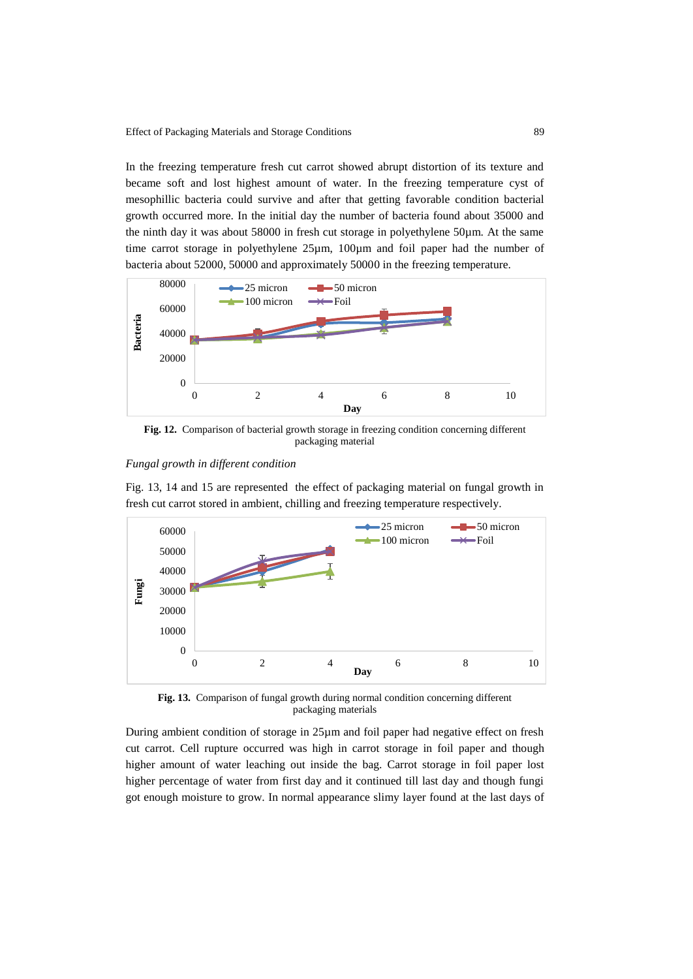In the freezing temperature fresh cut carrot showed abrupt distortion of its texture and became soft and lost highest amount of water. In the freezing temperature cyst of mesophillic bacteria could survive and after that getting favorable condition bacterial growth occurred more. In the initial day the number of bacteria found about 35000 and the ninth day it was about 58000 in fresh cut storage in polyethylene 50µm. At the same time carrot storage in polyethylene 25µm, 100µm and foil paper had the number of bacteria about 52000, 50000 and approximately 50000 in the freezing temperature.



**Fig. 12.** Comparison of bacterial growth storage in freezing condition concerning different packaging material

# *Fungal growth in different condition*

Fig. 13, 14 and 15 are represented the effect of packaging material on fungal growth in fresh cut carrot stored in ambient, chilling and freezing temperature respectively.



**Fig. 13.** Comparison of fungal growth during normal condition concerning different packaging materials

During ambient condition of storage in 25µm and foil paper had negative effect on fresh cut carrot. Cell rupture occurred was high in carrot storage in foil paper and though higher amount of water leaching out inside the bag. Carrot storage in foil paper lost higher percentage of water from first day and it continued till last day and though fungi got enough moisture to grow. In normal appearance slimy layer found at the last days of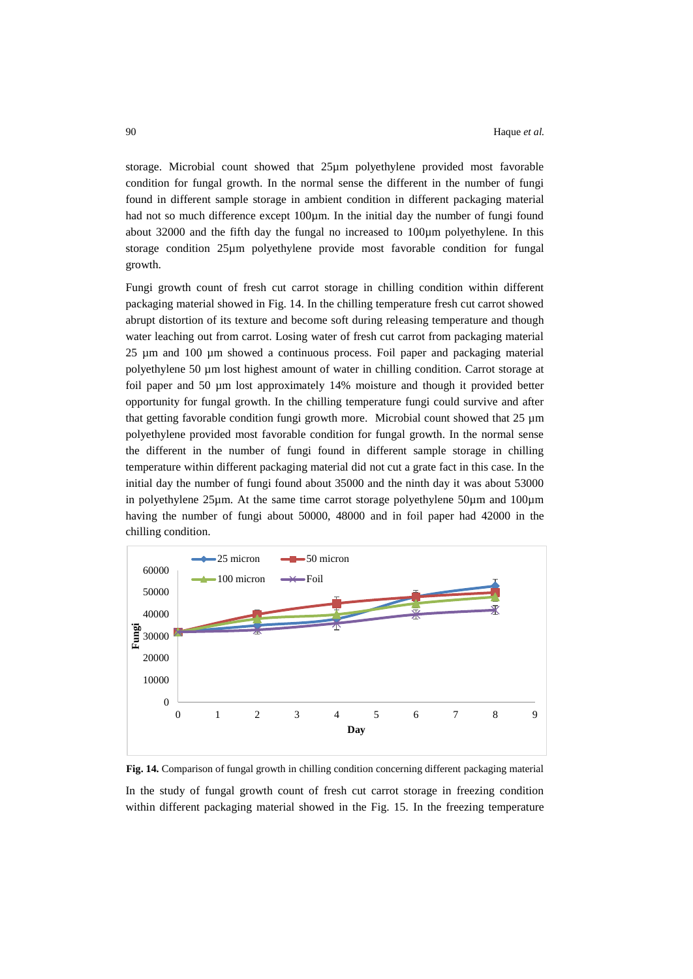storage. Microbial count showed that 25µm polyethylene provided most favorable condition for fungal growth. In the normal sense the different in the number of fungi found in different sample storage in ambient condition in different packaging material had not so much difference except 100µm. In the initial day the number of fungi found about 32000 and the fifth day the fungal no increased to 100µm polyethylene. In this storage condition 25µm polyethylene provide most favorable condition for fungal growth.

Fungi growth count of fresh cut carrot storage in chilling condition within different packaging material showed in Fig. 14. In the chilling temperature fresh cut carrot showed abrupt distortion of its texture and become soft during releasing temperature and though water leaching out from carrot. Losing water of fresh cut carrot from packaging material 25 µm and 100 µm showed a continuous process. Foil paper and packaging material polyethylene 50 µm lost highest amount of water in chilling condition. Carrot storage at foil paper and 50 µm lost approximately 14% moisture and though it provided better opportunity for fungal growth. In the chilling temperature fungi could survive and after that getting favorable condition fungi growth more. Microbial count showed that  $25 \mu m$ polyethylene provided most favorable condition for fungal growth. In the normal sense the different in the number of fungi found in different sample storage in chilling temperature within different packaging material did not cut a grate fact in this case. In the initial day the number of fungi found about 35000 and the ninth day it was about 53000 in polyethylene 25µm. At the same time carrot storage polyethylene 50µm and 100µm having the number of fungi about 50000, 48000 and in foil paper had 42000 in the chilling condition.



**Fig. 14.** Comparison of fungal growth in chilling condition concerning different packaging material In the study of fungal growth count of fresh cut carrot storage in freezing condition within different packaging material showed in the Fig. 15. In the freezing temperature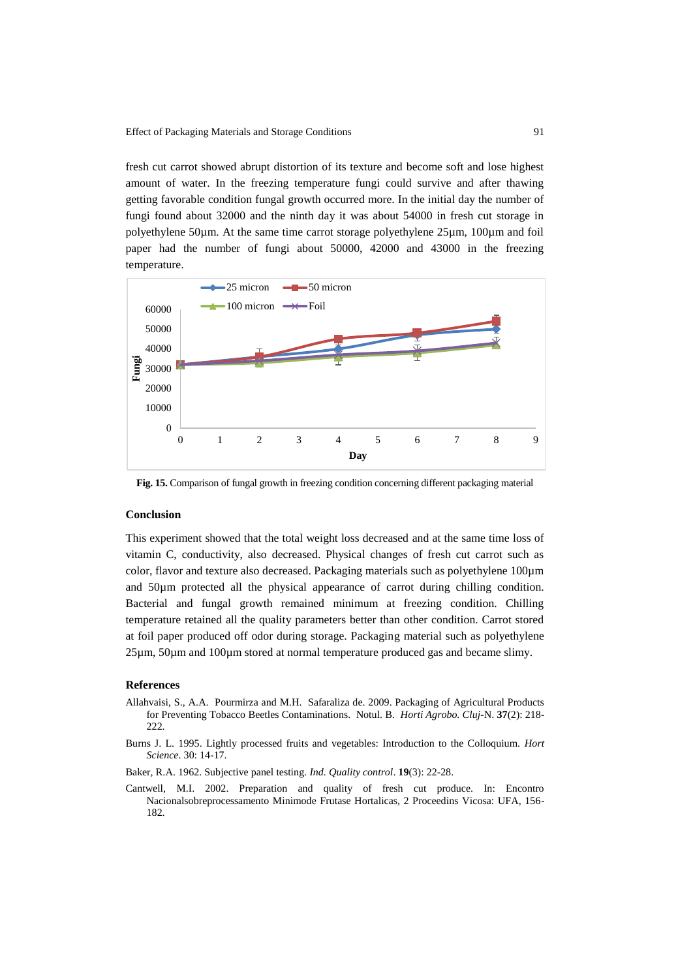Effect of Packaging Materials and Storage Conditions 91

fresh cut carrot showed abrupt distortion of its texture and become soft and lose highest amount of water. In the freezing temperature fungi could survive and after thawing getting favorable condition fungal growth occurred more. In the initial day the number of fungi found about 32000 and the ninth day it was about 54000 in fresh cut storage in polyethylene 50µm. At the same time carrot storage polyethylene 25µm, 100µm and foil paper had the number of fungi about 50000, 42000 and 43000 in the freezing temperature.



**Fig. 15.** Comparison of fungal growth in freezing condition concerning different packaging material

## **Conclusion**

This experiment showed that the total weight loss decreased and at the same time loss of vitamin C, conductivity, also decreased. Physical changes of fresh cut carrot such as color, flavor and texture also decreased. Packaging materials such as polyethylene 100µm and 50µm protected all the physical appearance of carrot during chilling condition. Bacterial and fungal growth remained minimum at freezing condition. Chilling temperature retained all the quality parameters better than other condition. Carrot stored at foil paper produced off odor during storage. Packaging material such as polyethylene 25µm, 50µm and 100µm stored at normal temperature produced gas and became slimy.

### **References**

- Allahvaisi, S., A.A. Pourmirza and M.H. Safaraliza de. 2009. Packaging of Agricultural Products for Preventing Tobacco Beetles Contaminations. Notul. B. *Horti Agrobo. Cluj*-N. **37**(2): 218- 222.
- Burns J. L. 1995. Lightly processed fruits and vegetables: Introduction to the Colloquium. *Hort Science*. 30: 14-17.

Baker, R.A. 1962. Subjective panel testing. *Ind. Quality control*. **19**(3): 22-28.

Cantwell, M.I. 2002. Preparation and quality of fresh cut produce. In: Encontro Nacionalsobreprocessamento Minimode Frutase Hortalicas, 2 Proceedins Vicosa: UFA, 156- 182.